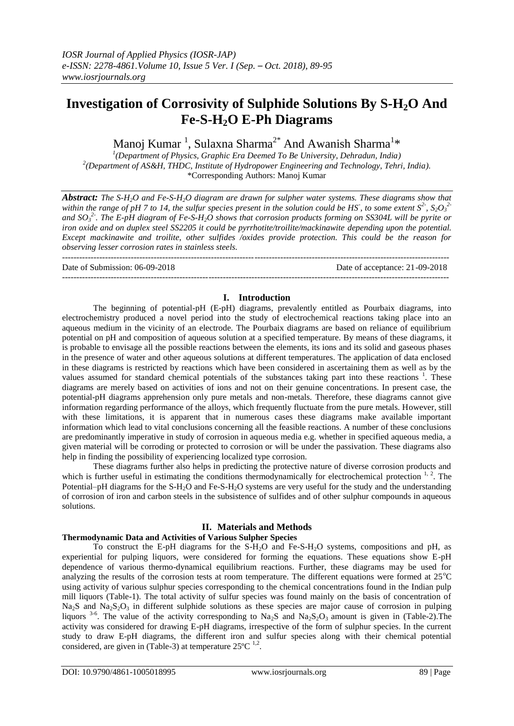# **Investigation of Corrosivity of Sulphide Solutions By S-H2O And Fe-S-H2O E-Ph Diagrams**

Manoj Kumar  $^1$ , Sulaxna Sharma $^{2^*}$  And Awanish Sharma $^{1_\ast}$ 

*1 (Department of Physics, Graphic Era Deemed To Be University, Dehradun, India) 2 (Department of AS&H, THDC, Institute of Hydropower Engineering and Technology, Tehri, India).* \*Corresponding Authors: Manoj Kumar

*Abstract: The S-H2O and Fe-S-H2O diagram are drawn for sulpher water systems. These diagrams show that within the range of pH 7 to 14, the sulfur species present in the solution could be HS<sup>-</sup>, to some extent*  $S^2$ *,*  $S_2O_3^2$ *and SO<sup>3</sup> 2- . The E-pH diagram of Fe-S-H2O shows that corrosion products forming on SS304L will be pyrite or iron oxide and on duplex steel SS2205 it could be pyrrhotite/troilite/mackinawite depending upon the potential. Except mackinawite and troilite, other sulfides /oxides provide protection. This could be the reason for observing lesser corrosion rates in stainless steels.*

--------------------------------------------------------------------------------------------------------------------------------------- Date of Submission: 06-09-2018 Date of acceptance: 21-09-2018 ---------------------------------------------------------------------------------------------------------------------------------------

### **I. Introduction**

The beginning of potential-pH (E-pH) diagrams, prevalently entitled as Pourbaix diagrams, into electrochemistry produced a novel period into the study of electrochemical reactions taking place into an aqueous medium in the vicinity of an electrode. The Pourbaix diagrams are based on reliance of equilibrium potential on pH and composition of aqueous solution at a specified temperature. By means of these diagrams, it is probable to envisage all the possible reactions between the elements, its ions and its solid and gaseous phases in the presence of water and other aqueous solutions at different temperatures. The application of data enclosed in these diagrams is restricted by reactions which have been considered in ascertaining them as well as by the values assumed for standard chemical potentials of the substances taking part into these reactions <sup>1</sup> <sup>1</sup>. These diagrams are merely based on activities of ions and not on their genuine concentrations. In present case, the potential-pH diagrams apprehension only pure metals and non-metals. Therefore, these diagrams cannot give information regarding performance of the alloys, which frequently fluctuate from the pure metals. However, still with these limitations, it is apparent that in numerous cases these diagrams make available important information which lead to vital conclusions concerning all the feasible reactions. A number of these conclusions are predominantly imperative in study of corrosion in aqueous media e.g. whether in specified aqueous media, a given material will be corroding or protected to corrosion or will be under the passivation. These diagrams also help in finding the possibility of experiencing localized type corrosion.

These diagrams further also helps in predicting the protective nature of diverse corrosion products and which is further useful in estimating the conditions thermodynamically for electrochemical protection  $1, 2$ . The Potential–pH diagrams for the S-H<sub>2</sub>O and Fe-S-H<sub>2</sub>O systems are very useful for the study and the understanding of corrosion of iron and carbon steels in the subsistence of sulfides and of other sulphur compounds in aqueous solutions.

### **II. Materials and Methods**

### **Thermodynamic Data and Activities of Various Sulpher Species**

To construct the E-pH diagrams for the S-H2O and Fe-S-H2O systems, compositions and pH, as experiential for pulping liquors, were considered for forming the equations. These equations show E-pH dependence of various thermo-dynamical equilibrium reactions. Further, these diagrams may be used for analyzing the results of the corrosion tests at room temperature. The different equations were formed at  $25^{\circ}\text{C}$ using activity of various sulphur species corresponding to the chemical concentrations found in the Indian pulp mill liquors (Table-1). The total activity of sulfur species was found mainly on the basis of concentration of Na<sub>2</sub>S and Na<sub>2</sub>S<sub>2</sub>O<sub>3</sub> in different sulphide solutions as these species are major cause of corrosion in pulping liquors <sup>3-6</sup>. The value of the activity corresponding to Na<sub>2</sub>S and Na<sub>2</sub>S<sub>2</sub>O<sub>3</sub> amount is given in (Table-2). The activity was considered for drawing E-pH diagrams, irrespective of the form of sulphur species. In the current study to draw E-pH diagrams, the different iron and sulfur species along with their chemical potential considered, are given in (Table-3) at temperature  $25^{\circ}$ C <sup>1,2</sup>.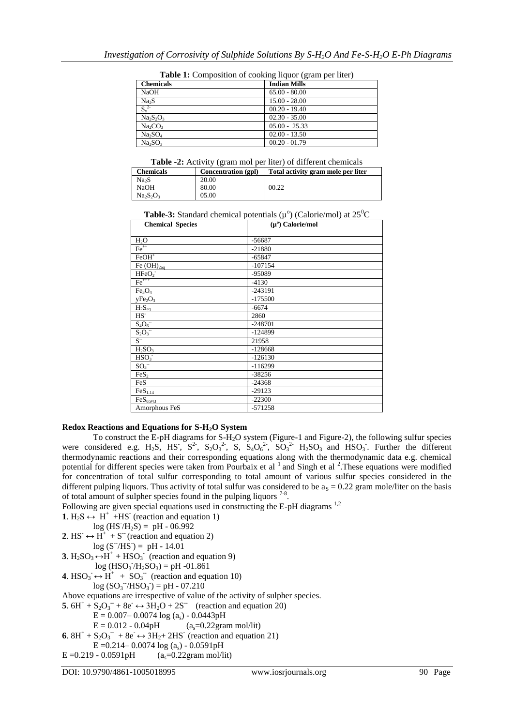| <b>Chemicals</b>                | <b>Indian Mills</b> |
|---------------------------------|---------------------|
| <b>NaOH</b>                     | $65.00 - 80.00$     |
| Na <sub>2</sub> S               | $15.00 - 28.00$     |
| $S_x^2$                         | $00.20 - 19.40$     |
| Na <sub>2</sub> SO <sub>3</sub> | $02.30 - 35.00$     |
| Na <sub>2</sub> CO <sub>3</sub> | $05.00 - 25.33$     |
| Na <sub>2</sub> SO <sub>4</sub> | $02.00 - 13.50$     |
| Na <sub>2</sub> SO <sub>3</sub> | $00.20 - 01.79$     |

**Table 1:** Composition of cooking liquor (gram per liter)

**Table -2:** Activity (gram mol per liter) of different chemicals

| <b>Chemicals</b>                | Concentration (gpl) | Total activity gram mole per liter |
|---------------------------------|---------------------|------------------------------------|
| Na <sub>2</sub> S               | 20.00               |                                    |
| <b>NaOH</b>                     | 80.00               | 00.22                              |
| Na <sub>2</sub> SO <sub>3</sub> | 05.00               |                                    |

**Table-3:** Standard chemical potentials  $(\mu^{\circ})$  (Calorie/mol) at  $25^{\circ}$ C

| <b>Chemical Species</b>         | $(\mu^0)$ Calorie/mol |  |
|---------------------------------|-----------------------|--|
|                                 |                       |  |
| $H_2O$                          | $-56687$              |  |
| $Fe++$                          | $-21880$              |  |
| $FeOH+$                         | $-65847$              |  |
| Fe $(OH)_{2aq}$                 | $-107154$             |  |
| HFeO <sub>2</sub>               | -95089                |  |
| $Fe+++$                         | $-4130$               |  |
| Fe <sub>3</sub> O <sub>4</sub>  | -243191               |  |
| yFe <sub>2</sub> O <sub>3</sub> | $-175500$             |  |
| $H_2S_{aq}$                     | $-6674$               |  |
| $HS^-$                          | 2860                  |  |
| $S_4O_6^-$                      | $-248701$             |  |
| $S_2O_3^-$                      | $-124899$             |  |
| $\overline{S^{-}}$              | 21958                 |  |
| $H_2SO_3$                       | $-128668$             |  |
| HSO <sub>3</sub>                | $-126130$             |  |
| $SO_3^-$                        | $-116299$             |  |
| FeS <sub>2</sub>                | $-38256$              |  |
| FeS                             | $-24368$              |  |
| FeS <sub>1.14</sub>             | $-29123$              |  |
| FeS <sub>0.943</sub>            | $-22300$              |  |
| Amorphous FeS                   | $-571258$             |  |

### **Redox Reactions and Equations for S-H2O System**

To construct the E-pH diagrams for S-H2O system (Figure-1 and Figure-2), the following sulfur species were considered e.g. H<sub>2</sub>S, HS<sup>-</sup>, S<sub>2</sub>O<sub>3</sub><sup>2</sup>-, S, S<sub>4</sub>O<sub>6</sub><sup>2</sup>-, SO<sub>3</sub><sup>2</sup>- H<sub>2</sub>SO<sub>3</sub> and HSO<sub>3</sub>. Further the different thermodynamic reactions and their corresponding equations along with the thermodynamic data e.g. chemical potential for different species were taken from Pourbaix et al<sup>1</sup> and Singh et al<sup>2</sup>. These equations were modified for concentration of total sulfur corresponding to total amount of various sulfur species considered in the different pulping liquors. Thus activity of total sulfur was considered to be  $a<sub>S</sub> = 0.22$  gram mole/liter on the basis of total amount of sulpher species found in the pulping liquors  $7-8$ .

Following are given special equations used in constructing the E-pH diagrams <sup>1,2</sup>

**1**.  $H_2S \leftrightarrow H^+$  +HS<sup>-</sup> (reaction and equation 1)

 $log(HS'/H_2S) = pH - 06.992$ 

**2.** HS<sup>-</sup>  $\leftrightarrow$  H<sup>+</sup> + S<sup>-</sup> (reaction and equation 2)  $log (S^{-}/HS) = pH - 14.01$ 

**3**.  $H_2SO_3 \leftrightarrow H^+ + HSO_3$  (reaction and equation 9)

 $log(HSO_3/H_2SO_3) = pH -01.861$ 

**4.** HSO<sub>3</sub><sup> $\rightarrow$ </sup> H<sup>+</sup> + SO<sub>3</sub><sup> $\rightarrow$ </sup> (reaction and equation 10)

$$
log (SO_3^-/HSO_3^-) = pH - 07.210
$$

Above equations are irrespective of value of the activity of sulpher species.

**5**.  $6H^+ + S_2O_3^- + 8e^- \leftrightarrow 3H_2O + 2S^-$  (reaction and equation 20)

 $E = 0.007 - 0.0074 \log(a_s) - 0.0443pH$ 

 $E = 0.012 - 0.04pH$  (a<sub>s</sub>=0.22gram mol/lit)

**6.**  $8H^+ + S_2O_3^- + 8e^- \leftrightarrow 3H_2 + 2HS^-$  (reaction and equation 21)

E = 0.214 – 0.0074 log (a<sub>s</sub>) - 0.0591 pH<br>  $($ a = 0.22 gram mol/lit)  $E = 0.210 - 0.0501<sub>n</sub>H$ 

$$
E = 0.219 - 0.0591pH \t (as=0.22gram mol/11
$$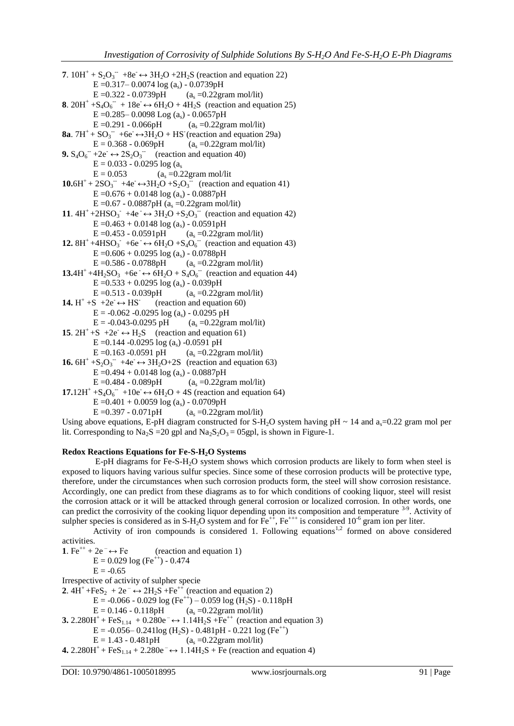```
7. 10H^+ + S_2O_3^- +8e \leftrightarrow 3H_2O + 2H_2S (reaction and equation 22)
            E = 0.317 – 0.0074 log (a<sub>s</sub>) - 0.0739pH<br>E = 0.322 - 0.0739pH (a<sub>s</sub> = 0.22gr
                                                 (a_s = 0.22gram mol/lit)
8. 20H^+ + S_4O_6^- + 18e \leftrightarrow 6H_2O + 4H_2S (reaction and equation 25)
            E = 0.285 – 0.0098 Log (as) - 0.0657pH<br>E = 0.291 - 0.066pH (as = 0.22gra
                                                  (a_s = 0.22gram mol/lit)
8a. 7H^+ + SO_3^- + 6e^- \leftrightarrow 3H_2O + HS (reaction and equation 29a)
            E = 0.368 - 0.069pH (a<sub>s</sub> =0.22gram mol/lit)
9. S_4O_6^- +2e<sup>-</sup> \leftrightarrow 2S_2O_3^- (reaction and equation 40)
            E = 0.033 - 0.0295 \log(a_s)<br>E = 0.053 (a_s = 0.2)(a_s = 0.22gram mol/lit
10.6H^{+} + 2SO_{3}^{-} + 4e^{-} \leftrightarrow 3H_{2}O + S_{2}O_{3}^{-} (reaction and equation 41)
            E = 0.676 + 0.0148 \log(a_s) - 0.0887pHE = 0.67 - 0.0887pH (a_s = 0.22gram mol/lit)
11. 4H^+ + 2HSO_3^- + 4e^- \leftrightarrow 3H_2O + S_2O_3^- (reaction and equation 42)
            E = 0.463 + 0.0148 log (a<sub>s</sub>) - 0.0591pH<br>E = 0.453 - 0.0591pH (a<sub>s</sub> = 0.22gra
                                                 (a_s = 0.22gram mol/lit)
12. 8H^+ +4HSO_3^- +6e^- \leftrightarrow 6H_2O + S_4O_6^- (reaction and equation 43)
            E = 0.606 + 0.0295 \log(a_s) - 0.0788pHE = 0.586 - 0.0788pH (a<sub>s</sub> = 0.22 gram mol/lit)
13.4H<sup>+</sup> +4H<sub>2</sub>SO<sub>3</sub> +6e \rightarrow 6H<sub>2</sub>O + S<sub>4</sub>O<sub>6</sub> (reaction and equation 44)
            E = 0.533 + 0.0295 \log(a_s) - 0.039pHE = 0.513 - 0.039 pH (a_s = 0.22)gram mol/lit)
14. H^+ +S +2e<sup>\rightarrow</sup> + HS<sup>-</sup>
                                     (reaction and equation 60)
            E = -0.062 - 0.0295 \log(a_s) - 0.0295 \text{ pH}E = -0.043 - 0.0295 pH (a<sub>s</sub> =0.22gram mol/lit)
15. 2H^+ + S \rightarrow 2e^- \leftrightarrow H_2S (reaction and equation 61)
            E = 0.144 - 0.0295 log (a_s) - 0.0591 pH
            E = 0.163 - 0.0591 pH (a_s = 0.22)gram mol/lit)
16. 6H^+ + S_2O_3^- +4e \leftrightarrow 3H_2O + 2S (reaction and equation 63)
            E = 0.494 + 0.0148 log (a<sub>s</sub>) - 0.0887pH<br>E = 0.484 - 0.089pH (a<sub>s</sub> = 0.22gra
                                                  (a_s = 0.22gram mol/lit)
17.12H^{+} + S_{4}O_{6}^{-} +10e \leftrightarrow 6H<sub>2</sub>O + 4S (reaction and equation 64)
            E = 0.401 + 0.0059 log (as) - 0.0709pH<br>E = 0.397 - 0.071pH (as = 0.22gra
                                                 (a_s = 0.22gram mol/lit)
```
Using above equations, E-pH diagram constructed for S-H<sub>2</sub>O system having pH  $\sim$  14 and a<sub>s</sub>=0.22 gram mol per lit. Corresponding to Na<sub>2</sub>S = 20 gpl and Na<sub>2</sub>S<sub>2</sub>O<sub>3</sub> = 05gpl, is shown in Figure-1.

### **Redox Reactions Equations for Fe-S-H2O Systems**

E-pH diagrams for Fe-S-H2O system shows which corrosion products are likely to form when steel is exposed to liquors having various sulfur species. Since some of these corrosion products will be protective type, therefore, under the circumstances when such corrosion products form, the steel will show corrosion resistance. Accordingly, one can predict from these diagrams as to for which conditions of cooking liquor, steel will resist the corrosion attack or it will be attacked through general corrosion or localized corrosion. In other words, one can predict the corrosivity of the cooking liquor depending upon its composition and temperature <sup>3-9</sup>. Activity of sulpher species is considered as in S-H<sub>2</sub>O system and for  $Fe^{++}$ ,  $Fe^{++}$  is considered 10<sup>-6</sup> gram ion per liter.

Activity of iron compounds is considered 1. Following equations<sup>1,2</sup> formed on above considered activities.

**1**. Fe<sup>++</sup> + 2e<sup>-</sup> $\leftrightarrow$  Fe (reaction and equation 1)  $E = 0.029 \log (Fe^{++}) - 0.474$  $E = -0.65$ Irrespective of activity of sulpher specie **2**.  $4H^+ + FeS_2 + 2e^- \leftrightarrow 2H_2S + Fe^{++}$  (reaction and equation 2) E = -0.066 - 0.029 log (Fe<sup>++</sup>) – 0.059 log (H<sub>2</sub>S) - 0.118pH<br>E = 0.146 - 0.118pH (a<sub>s</sub> = 0.22gram mol/lit)  $(a_s = 0.22$ gram mol/lit) **3.**  $2.280H^{+} + FeS_{1.14} + 0.280e^{-} \leftrightarrow 1.14H_{2}S + Fe^{++}$  (reaction and equation 3)  $E = -0.056 - 0.241\log(H_2S) - 0.481pH - 0.221\log(Fe^{++})$  $E = 1.43 - 0.481pH$  (a<sub>s</sub> =0.22gram mol/lit) **4.**  $2.280H^+ + FeS_{1,14} + 2.280e^- \leftrightarrow 1.14H_2S + Fe$  (reaction and equation 4)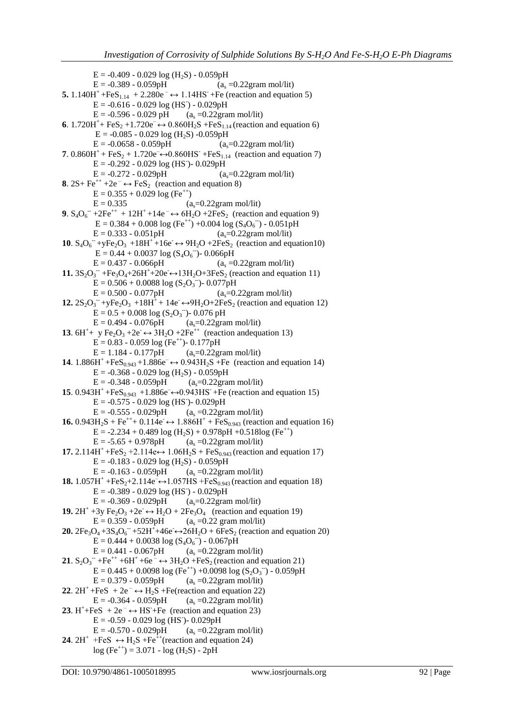```
E = -0.409 - 0.029 \log (H_2S) - 0.059pH<br>E = -0.389 - 0.059pH (a.
                                                           (a_e = 0.22gram mol/lit)
5. 1.140H^{+} + FeS<sub>1.14</sub> + 2.280e<sup>−</sup> ↔ 1.14HS<sup>−</sup> + Fe (reaction and equation 5)
            E = -0.616 - 0.029 \log (HS) - 0.029pHE = -0.596 - 0.029 pH (a<sub>s</sub> =0.22gram mol/lit)
6. 1.720H<sup>+</sup>+ FeS<sub>2</sub> +1.720e<sup>-</sup> ↔ 0.860H<sub>2</sub>S + FeS<sub>1.14</sub> (reaction and equation 6)
            E = -0.085 - 0.029 \log(H_2S) - 0.059pHE = -0.0658 - 0.059pH (a<sub>s</sub>=0.22gram mol/lit)
7. 0.860H<sup>+</sup> + FeS<sub>2</sub> + 1.720e<sup>-</sup>↔0.860HS<sup>+</sup> + FeS<sub>1.14</sub> (reaction and equation 7)
            E = -0.292 - 0.029 \log (HS) - 0.029pHE = -0.272 - 0.029pH (a<sub>s</sub>=0.22gram mol/lit)
8. 2S + Fe^{++} + 2e^- \leftrightarrow FeS_2 (reaction and equation 8)
           E = 0.355 + 0.029 \log (Fe^{++})E = 0.335 (a<sub>s</sub>=0.22gram mol/lit)
9. S_4O_6^- +2Fe<sup>++</sup> + 12H<sup>+</sup> +14e<sup>-</sup> \leftrightarrow 6H<sub>2</sub>O +2FeS<sub>2</sub> (reaction and equation 9)
             E = 0.384 + 0.008 \log (Fe^{++}) + 0.004 \log (S_4O_6^-) - 0.051 \text{pH}E = 0.333 - 0.051pH (a<sub>s</sub>=0.22gram mol/lit)
10. S_4O_6^- +yFe<sub>2</sub>O_3 +18H<sup>+</sup> +16e \leftrightarrow 9H<sub>2</sub>O +2FeS<sub>2</sub> (reaction and equation10)
             E = 0.44 + 0.0037 \log (S_4O_6^-)- 0.066pH
           E = 0.437 - 0.066pH (a<sub>s</sub> =0.22gram mol/lit)
11. 3S_2O_3^- +Fe<sub>3</sub>O<sub>4</sub>+26H<sup>+</sup>+20e ↔13H<sub>2</sub>O+3FeS<sub>2</sub> (reaction and equation 11)
            E = 0.506 + 0.0088 \log (S_2O_3) - 0.077pHE = 0.500 - 0.077pH (a<sub>s</sub>=0.22gram mol/lit)
12. 2S_2O_3<sup>−</sup>+yFe<sub>2</sub>O<sub>3</sub> +18H<sup>+</sup> + 14e<sup>-</sup> ↔9H<sub>2</sub>O+2FeS<sub>2</sub> (reaction and equation 12)
            E = 0.5 + 0.008 \log (S_2O_3) - 0.076 \text{ pH}E = 0.494 - 0.076pH (a<sub>s</sub>=0.22gram mol/lit)
13. 6H^+ y Fe<sub>2</sub>O<sub>3</sub> +2e<sup>\rightarrow</sup> 3H<sub>2</sub>O +2Fe<sup>++</sup> (reaction andequation 13)
           E = 0.83 - 0.059 \log (Fe^{++}) - 0.177pHE = 1.184 - 0.177pH (a<sub>s</sub>=0.22gram mol/lit)
14. 1.886H^{+} + FeS_{0.943} + 1.886e^{-} \leftrightarrow 0.943H_{2}S + Fe (reaction and equation 14)
           E = -0.368 - 0.029 \log (H_2S) - 0.059pH<br>E = -0.348 - 0.059pH (a<sub>s</sub>=0.22gram mol/lit)
           E = -0.348 - 0.059pH15. 0.943H<sup>+</sup> +FeS<sub>0.943</sub> +1.886e<sup>-</sup>→0.943HS<sup>-</sup> +Fe (reaction and equation 15)
            E = -0.575 - 0.029 \log (HS) - 0.029pHE = -0.555 - 0.029pH (a<sub>s</sub> =0.22gram mol/lit)
16. 0.943H<sub>2</sub>S + Fe<sup>++</sup>+ 0.114e \leftrightarrow 1.886H<sup>+</sup> + FeS<sub>0.943</sub> (reaction and equation 16)
           E = -2.234 + 0.489 \log (H_2S) + 0.978pH + 0.518log (Fe^{++})E = -5.65 + 0.978pH (a<sub>s</sub> =0.22gram mol/lit)
17. 2.114H^+ + FeS_2 + 2.114e \leftrightarrow 1.06H_2S + FeS_{0.943} (reaction and equation 17)
           E = -0.183 - 0.029 \log(H_2S) - 0.059pHE = -0.163 - 0.059pH (a<sub>s</sub> =0.22gram mol/lit)
18. 1.057H^+ + FeS_2 + 2.114e^- \leftrightarrow 1.057HS + FeS_{0.943} (reaction and equation 18)
            E = -0.389 - 0.029 \log (HS) - 0.029pHE = -0.369 - 0.029pH (a<sub>s</sub>=0.22gram mol/lit)
19. 2H^+ + 3y Fe_2O_3 + 2e^- \leftrightarrow H_2O + 2Fe_3O_4 (reaction and equation 19)
           E = 0.359 - 0.059pH (a<sub>s</sub> =0.22 gram mol/lit)
20. 2Fe<sub>3</sub>O<sub>4</sub> +3S<sub>4</sub>O<sub>6</sub> +52H<sup>+</sup>+46e ↔ 26H<sub>2</sub>O + 6FeS<sub>2</sub> (reaction and equation 20)
            E = 0.444 + 0.0038 \log(S_4O_6^{-}) - 0.067pHE = 0.441 - 0.067pH (a<sub>s</sub> =0.22gram mol/lit)
21. S_2O_3^- +Fe<sup>++</sup> +6H<sup>+</sup> +6e<sup>-</sup> \leftrightarrow 3H<sub>2</sub>O +FeS<sub>2</sub> (reaction and equation 21)
            E = 0.445 + 0.0098 \log (Fe^{++}) + 0.0098 \log (S_2O_3^-) - 0.059pHE = 0.379 - 0.059pH (a<sub>s</sub> =0.22gram mol/lit)
22. 2H^+ + FeS + 2e^- \leftrightarrow H_2S + Fe(reaction and equation 22)<br>E = -0.364 - 0.059pH (a_s = 0.22 \text{gram mol/lit})(a_s = 0.22gram mol/lit)
23. H^++FeS + 2e<sup>-</sup> \leftrightarrow HS<sup>-+</sup>Fe (reaction and equation 23)
            E = -0.59 - 0.029 \log (HS) - 0.029pHE = -0.570 - 0.029pH (a<sub>s</sub> =0.22gram mol/lit)
24. 2H^+ +FeS \leftrightarrow H<sub>2</sub>S +Fe<sup>++</sup>(reaction and equation 24)
           log (Fe^{++}) = 3.071 - log (H_2S) - 2pH
```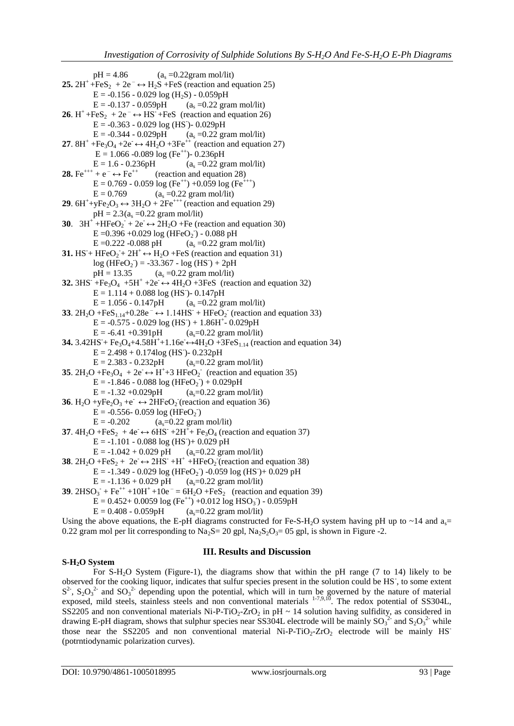$pH = 4.86$  (a<sub>s</sub> =0.22gram mol/lit) **25.**  $2H^+ + FeS_2 + 2e^- \leftrightarrow H_2S + FeS$  (reaction and equation 25)  $E = -0.156 - 0.029 \log(H_2S) - 0.059pH$  $E = -0.137 - 0.059pH$  (a<sub>s</sub> =0.22 gram mol/lit) **26.**  $H^+$ +FeS<sub>2</sub> + 2e<sup>-</sup>  $\leftrightarrow$  HS<sup>-</sup>+FeS (reaction and equation 26)  $E = -0.363 - 0.029 \log (HS) - 0.029pH$  $E = -0.344 - 0.029pH$  (a<sub>s</sub> =0.22 gram mol/lit) **27.**  $8H^+ + Fe_3O_4 + 2e^- \leftrightarrow 4H_2O + 3Fe^{++}$  (reaction and equation 27)  $E = 1.066 - 0.089 \log (Fe^{++}) - 0.236pH$  $E = 1.6 - 0.236pH$  (a<sub>s</sub> =0.22 gram mol/lit)<br>**28.** Fe<sup>+++</sup> + e<sup>-</sup>  $\leftrightarrow$  Fe<sup>++</sup> (reaction and equation 28) (reaction and equation 28)  $E = 0.769 - 0.059 \log (Fe^{++}) + 0.059 \log (Fe^{+++})$  $E = 0.769$  (a<sub>s</sub> =0.22 gram mol/lit) **29**.  $6H^+ + yFe_2O_3 \leftrightarrow 3H_2O + 2Fe^{+++}$  (reaction and equation 29)  $pH = 2.3(a_s = 0.22 \text{ gram mol/lit})$ **30**.  $3H^+ + HFeO_2 + 2e \leftrightarrow 2H_2O + Fe$  (reaction and equation 30)  $E = 0.396 + 0.029 \log (HFeO<sub>2</sub>) - 0.088 \text{ pH}$  $E = 0.222 - 0.088$  pH (as =0.22 gram mol/lit) **31.** HS<sup>-</sup>+ HFeO<sub>2</sub> + 2H<sup>+</sup>  $\leftrightarrow$  H<sub>2</sub>O + FeS (reaction and equation 31)  $log(HFeO<sub>2</sub>) = -33.367 - log(HS<sup>2</sup>) + 2pH$  $pH = 13.35$  (a<sub>s</sub> =0.22 gram mol/lit) **32.** 3HS + Fe<sub>3</sub>O<sub>4</sub> + 5H<sup>+</sup> + 2e  $\leftrightarrow$  4H<sub>2</sub>O + 3FeS (reaction and equation 32)  $E = 1.114 + 0.088 \log (HS) - 0.147pH$  $E = 1.056 - 0.147pH$  (a<sub>s</sub> =0.22 gram mol/lit) **33**.  $2H_2O$  +FeS<sub>1.14</sub>+0.28e<sup>-</sup> $\leftrightarrow$  1.14HS<sup>-</sup> + HFeO<sub>2</sub><sup>-</sup> (reaction and equation 33)  $E = -0.575 - 0.029 \log (HS) + 1.86H^+ - 0.029pH$  $E = -6.41 + 0.391pH$  (a<sub>s</sub>=0.22 gram mol/lit) **34.**  $3.42$ HS + Fe<sub>3</sub>O<sub>4</sub>+4.58H<sup>+</sup>+1.16e ↔4H<sub>2</sub>O +3FeS<sub>1.14</sub> (reaction and equation 34)  $E = 2.498 + 0.174 \log (HS) - 0.232pH$  $E = 2.383 - 0.232pH$  (a<sub>s</sub>=0.22 gram mol/lit) **35**.  $2H_2O + Fe_3O_4 + 2e \leftrightarrow H^+ + 3 HFeO_2$  (reaction and equation 35)  $E = -1.846 - 0.088 \log(HFeO<sub>2</sub>) + 0.029pH$  $E = -1.32 + 0.029pH$  (a<sub>s</sub>=0.22 gram mol/lit) **36.** H<sub>2</sub>O +yFe<sub>2</sub>O<sub>3</sub> +e<sup> $\rightarrow$ </sup>  $\leftrightarrow$  2HFeO<sub>2</sub> (reaction and equation 36)  $\vec{E} = -0.556 - 0.059 \log(HFeO<sub>2</sub>)$  $E = -0.202$  (a<sub>s</sub>=0.22 gram mol/lit) **37**.  $4H_2O + FeS_2 + 4e \leftrightarrow 6HS^- + 2H^+ + Fe_3O_4$  (reaction and equation 37)  $E = -1.101 - 0.088 \log (HS) + 0.029 \text{ pH}$  $E = -1.042 + 0.029$  pH (a<sub>s</sub>=0.22 gram mol/lit) **38**.  $2H_2O$  +FeS<sub>2</sub> + 2e  $\leftrightarrow$  2HS +H<sup>+</sup> +HFeO<sub>2</sub> (reaction and equation 38)  $E = -1.349 - 0.029 \log(HFeO<sub>2</sub>) - 0.059 \log(HS) + 0.029 \text{ pH}$  $E = -1.136 + 0.029$  pH (a<sub>s</sub>=0.22 gram mol/lit) **39.**  $2HSO_3$  + Fe<sup>++</sup> +10H<sup>+</sup> +10e<sup>-</sup> = 6H<sub>2</sub>O + FeS<sub>2</sub> (reaction and equation 39)  $\overline{E} = 0.452 + 0.0059 \log (Fe^{++}) + 0.012 \log HSO_3) - 0.059pH$  $E = 0.408 - 0.059pH$  (a<sub>s</sub>=0.22 gram mol/lit)

Using the above equations, the E-pH diagrams constructed for Fe-S-H<sub>2</sub>O system having pH up to ~14 and a<sub>s</sub>= 0.22 gram mol per lit corresponding to  $Na_2S = 20$  gpl,  $Na_2S_2O_3 = 05$  gpl, is shown in Figure -2.

## **S-H2O System**

### **III. Results and Discussion**

For S-H2O System (Figure-1), the diagrams show that within the pH range (7 to 14) likely to be observed for the cooking liquor, indicates that sulfur species present in the solution could be HS<sup>-</sup>, to some extent  $S^2$ ,  $S_2O_3^2$  and  $SO_3^2$  depending upon the potential, which will in turn be governed by the nature of material exposed, mild steels, stainless steels and non conventional materials  $1-7,9,10$ . The redox potential of SS304L, SS2205 and non conventional materials Ni-P-TiO<sub>2</sub>-ZrO<sub>2</sub> in pH ~ 14 solution having sulfidity, as considered in drawing E-pH diagram, shows that sulphur species near SS304L electrode will be mainly  $SO_3^2$  and  $S_2O_3^2$  while those near the SS2205 and non conventional material  $Ni-P-TiO<sub>2</sub>-ZrO<sub>2</sub>$  electrode will be mainly HS (potrntiodynamic polarization curves).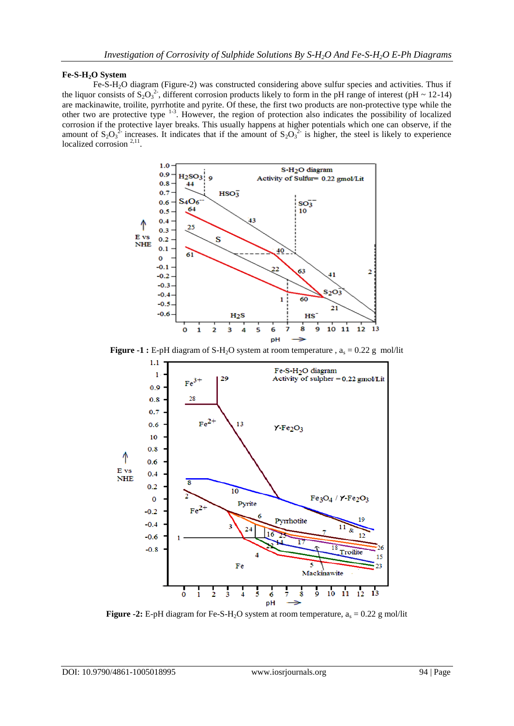### **Fe-S-H2O System**

Fe-S-H2O diagram (Figure-2) was constructed considering above sulfur species and activities. Thus if the liquor consists of  $S_2O_3^2$ , different corrosion products likely to form in the pH range of interest (pH ~ 12-14) are mackinawite, troilite, pyrrhotite and pyrite. Of these, the first two products are non-protective type while the other two are protective type <sup>1-3</sup>. However, the region of protection also indicates the possibility of localized corrosion if the protective layer breaks. This usually happens at higher potentials which one can observe, if the amount of  $S_2O_3^2$  increases. It indicates that if the amount of  $S_2O_3^2$  is higher, the steel is likely to experience localized corrosion  $2,11$ .



**Figure -1 :** E-pH diagram of S-H<sub>2</sub>O system at room temperature ,  $a_s = 0.22$  g mol/lit



**Figure -2:** E-pH diagram for Fe-S-H<sub>2</sub>O system at room temperature,  $a_s = 0.22$  g mol/lit